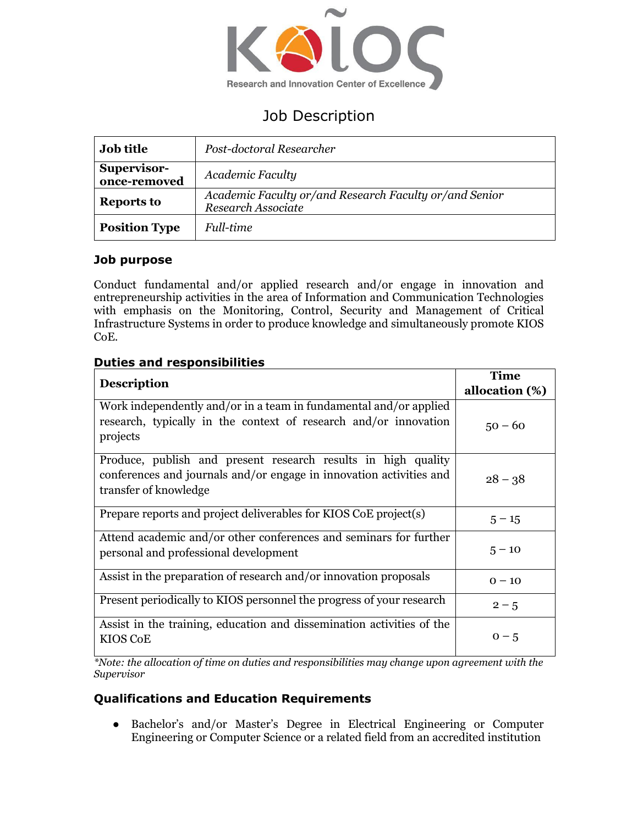

# Job Description

| <b>Job title</b>            | Post-doctoral Researcher                                                     |
|-----------------------------|------------------------------------------------------------------------------|
| Supervisor-<br>once-removed | Academic Faculty                                                             |
| <b>Reports to</b>           | Academic Faculty or/and Research Faculty or/and Senior<br>Research Associate |
| <b>Position Type</b>        | <i>Full-time</i>                                                             |

# **Job purpose**

Conduct fundamental and/or applied research and/or engage in innovation and entrepreneurship activities in the area of Information and Communication Technologies with emphasis on the Monitoring, Control, Security and Management of Critical Infrastructure Systems in order to produce knowledge and simultaneously promote KIOS CoE.

# **Duties and responsibilities**

|                                                                                                                                                               | <b>Time</b>    |
|---------------------------------------------------------------------------------------------------------------------------------------------------------------|----------------|
| <b>Description</b>                                                                                                                                            | allocation (%) |
| Work independently and/or in a team in fundamental and/or applied<br>research, typically in the context of research and/or innovation<br>projects             | $50 - 60$      |
| Produce, publish and present research results in high quality<br>conferences and journals and/or engage in innovation activities and<br>transfer of knowledge | $28 - 38$      |
| Prepare reports and project deliverables for KIOS CoE project(s)                                                                                              | $5 - 15$       |
| Attend academic and/or other conferences and seminars for further<br>personal and professional development                                                    | $5 - 10$       |
| Assist in the preparation of research and/or innovation proposals                                                                                             | $0 - 10$       |
| Present periodically to KIOS personnel the progress of your research                                                                                          | $2 - 5$        |
| Assist in the training, education and dissemination activities of the<br>KIOS CoE                                                                             | $0 - 5$        |

*\*Note: the allocation of time on duties and responsibilities may change upon agreement with the Supervisor*

# **Qualifications and Education Requirements**

● Bachelor's and/or Master's Degree in Electrical Engineering or Computer Engineering or Computer Science or a related field from an accredited institution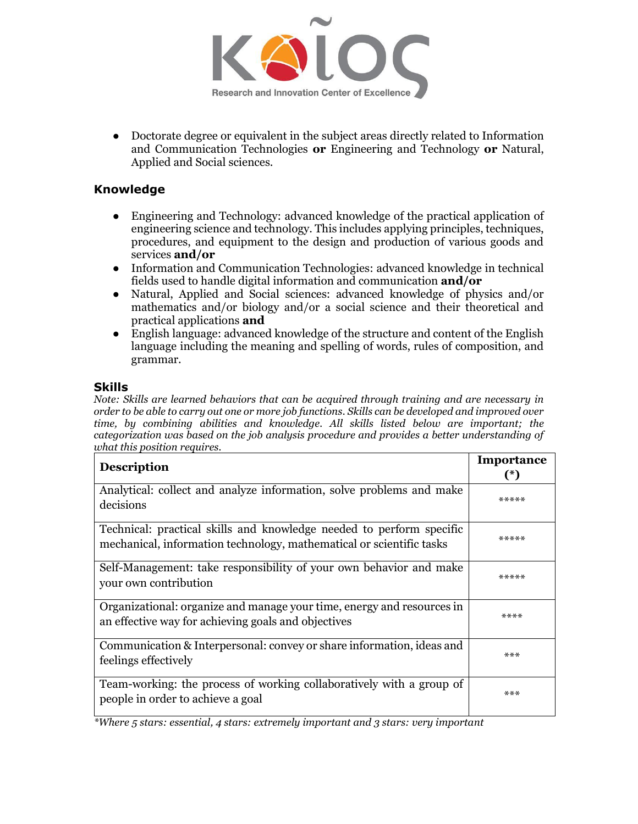

● Doctorate degree or equivalent in the subject areas directly related to Information and Communication Technologies **or** Engineering and Technology **or** Natural, Applied and Social sciences.

#### **Knowledge**

- Engineering and Technology: advanced knowledge of the practical application of engineering science and technology. This includes applying principles, techniques, procedures, and equipment to the design and production of various goods and services **and/or**
- Information and Communication Technologies: advanced knowledge in technical fields used to handle digital information and communication **and/or**
- Natural, Applied and Social sciences: advanced knowledge of physics and/or mathematics and/or biology and/or a social science and their theoretical and practical applications **and**
- English language: advanced knowledge of the structure and content of the English language including the meaning and spelling of words, rules of composition, and grammar.

#### **Skills**

*Note: Skills are learned behaviors that can be acquired through training and are necessary in order to be able to carry out one or more job functions. Skills can be developed and improved over time, by combining abilities and knowledge. All skills listed below are important; the categorization was based on the job analysis procedure and provides a better understanding of what this position requires.*

| <b>Description</b>                                                                                                                           | Importance |
|----------------------------------------------------------------------------------------------------------------------------------------------|------------|
|                                                                                                                                              | $(*)$      |
| Analytical: collect and analyze information, solve problems and make<br>decisions                                                            | *****      |
| Technical: practical skills and knowledge needed to perform specific<br>mechanical, information technology, mathematical or scientific tasks | *****      |
| Self-Management: take responsibility of your own behavior and make<br>your own contribution                                                  | *****      |
| Organizational: organize and manage your time, energy and resources in<br>an effective way for achieving goals and objectives                | ****       |
| Communication & Interpersonal: convey or share information, ideas and<br>feelings effectively                                                | $***$      |
| Team-working: the process of working collaboratively with a group of<br>people in order to achieve a goal                                    | ***        |

*\*Where 5 stars: essential, 4 stars: extremely important and 3 stars: very important*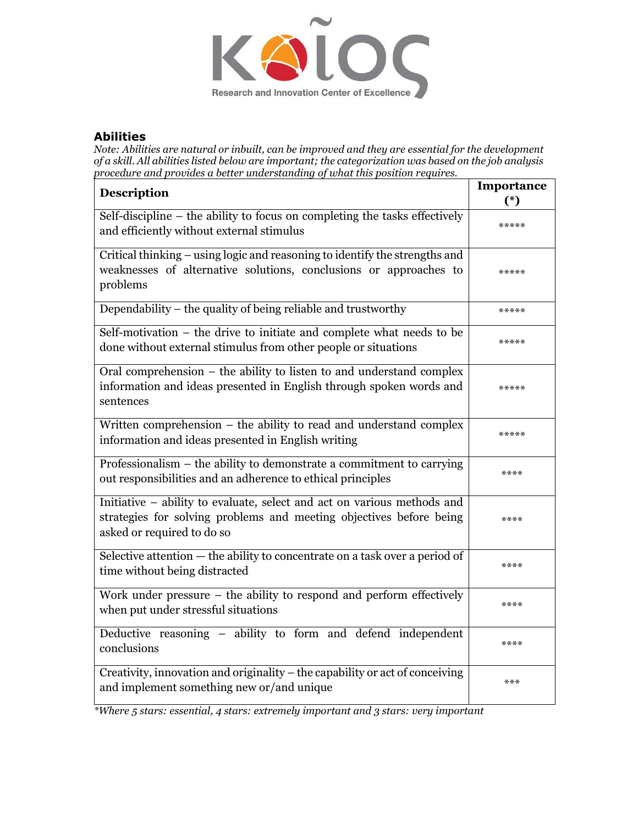

#### **Abilities**

*Note: Abilities are natural or inbuilt, can be improved and they are essential for the development of a skill. All abilities listed below are important; the categorization was based on the job analysis procedure and provides a better understanding of what this position requires.*

| <b>Description</b>                                                                                                                                                           | Importance |
|------------------------------------------------------------------------------------------------------------------------------------------------------------------------------|------------|
|                                                                                                                                                                              | $(*)$      |
| Self-discipline – the ability to focus on completing the tasks effectively<br>and efficiently without external stimulus                                                      | *****      |
| Critical thinking – using logic and reasoning to identify the strengths and<br>weaknesses of alternative solutions, conclusions or approaches to<br>problems                 | *****      |
| Dependability – the quality of being reliable and trustworthy                                                                                                                | *****      |
| Self-motivation – the drive to initiate and complete what needs to be<br>done without external stimulus from other people or situations                                      | *****      |
| Oral comprehension – the ability to listen to and understand complex<br>information and ideas presented in English through spoken words and<br>sentences                     | *****      |
| Written comprehension $-$ the ability to read and understand complex<br>information and ideas presented in English writing                                                   | *****      |
| Professionalism – the ability to demonstrate a commitment to carrying<br>out responsibilities and an adherence to ethical principles                                         | ****       |
| Initiative – ability to evaluate, select and act on various methods and<br>strategies for solving problems and meeting objectives before being<br>asked or required to do so | ****       |
| Selective attention $-$ the ability to concentrate on a task over a period of<br>time without being distracted                                                               | ****       |
| Work under pressure $-$ the ability to respond and perform effectively<br>when put under stressful situations                                                                | ****       |
| Deductive reasoning – ability to form and defend independent<br>conclusions                                                                                                  | ****       |
| Creativity, innovation and originality – the capability or act of conceiving<br>and implement something new or/and unique                                                    | ***        |

*\*Where 5 stars: essential, 4 stars: extremely important and 3 stars: very important*